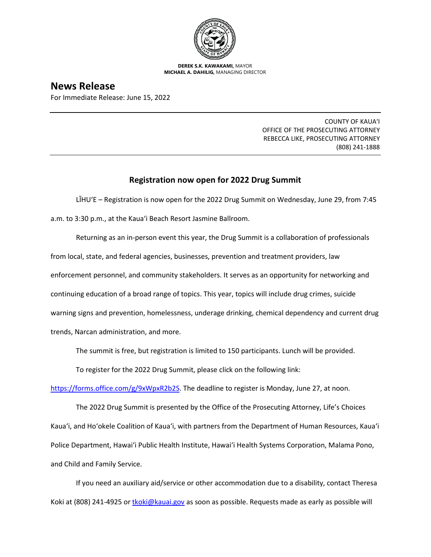

**DEREK S.K. KAWAKAMI,** MAYOR **MICHAEL A. DAHILIG,** MANAGING DIRECTOR

## **News Release**

For Immediate Release: June 15, 2022

COUNTY OF KAUA'I OFFICE OF THE PROSECUTING ATTORNEY REBECCA LIKE, PROSECUTING ATTORNEY (808) 241-1888

## **Registration now open for 2022 Drug Summit**

LĪHU'E – Registration is now open for the 2022 Drug Summit on Wednesday, June 29, from 7:45 a.m. to 3:30 p.m., at the Kaua'i Beach Resort Jasmine Ballroom.

Returning as an in-person event this year, the Drug Summit is a collaboration of professionals from local, state, and federal agencies, businesses, prevention and treatment providers, law enforcement personnel, and community stakeholders. It serves as an opportunity for networking and continuing education of a broad range of topics. This year, topics will include drug crimes, suicide warning signs and prevention, homelessness, underage drinking, chemical dependency and current drug trends, Narcan administration, and more.

The summit is free, but registration is limited to 150 participants. Lunch will be provided.

To register for the 2022 Drug Summit, please click on the following link:

[https://forms.office.com/g/9xWpxR2b2S.](https://forms.office.com/g/9xWpxR2b2S) The deadline to register is Monday, June 27, at noon.

The 2022 Drug Summit is presented by the Office of the Prosecuting Attorney, Life's Choices Kaua'i, and Ho'okele Coalition of Kaua'i, with partners from the Department of Human Resources, Kaua'i Police Department, Hawai'i Public Health Institute, Hawai'i Health Systems Corporation, Malama Pono, and Child and Family Service.

If you need an auxiliary aid/service or other accommodation due to a disability, contact Theresa Koki at (808) 241-4925 or thoki@kauai.gov as soon as possible. Requests made as early as possible will